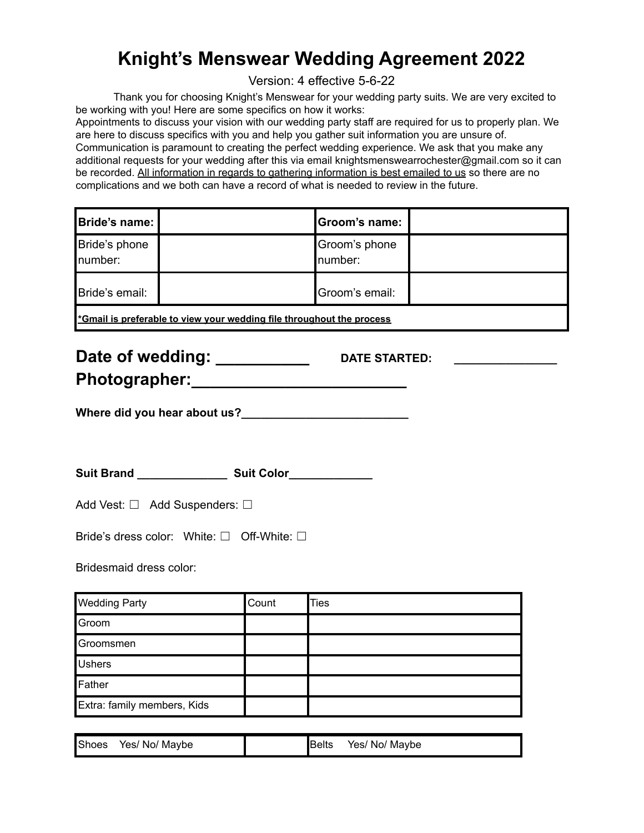## **Knight's Menswear Wedding Agreement 2022**

Version: 4 effective 5-6-22

Thank you for choosing Knight's Menswear for your wedding party suits. We are very excited to be working with you! Here are some specifics on how it works:

Appointments to discuss your vision with our wedding party staff are required for us to properly plan. We are here to discuss specifics with you and help you gather suit information you are unsure of. Communication is paramount to creating the perfect wedding experience. We ask that you make any additional requests for your wedding after this via email knightsmenswearrochester@gmail.com so it can be recorded. All information in regards to gathering information is best emailed to us so there are no complications and we both can have a record of what is needed to review in the future.

| Bride's name:                                                         |  | Groom's name:            |  |
|-----------------------------------------------------------------------|--|--------------------------|--|
| Bride's phone<br>number:                                              |  | Groom's phone<br>number: |  |
| Bride's email:                                                        |  | Groom's email:           |  |
| *Gmail is preferable to view your wedding file throughout the process |  |                          |  |

| Date of wedding: | <b>DATE STARTED:</b> |  |
|------------------|----------------------|--|
| Photographer:    |                      |  |

**Where did you hear about us?\_\_\_\_\_\_\_\_\_\_\_\_\_\_\_\_\_\_\_\_\_\_\_\_\_\_**

**Suit Brand \_\_\_\_\_\_\_\_\_\_\_\_\_\_ Suit Color\_\_\_\_\_\_\_\_\_\_\_\_\_**

| Add Vest: $\Box$ Add Suspenders: $\Box$ |  |
|-----------------------------------------|--|
|                                         |  |

Bride's dress color: White: □ Off-White: □

Bridesmaid dress color:

| <b>Wedding Party</b>        | Count | <b>Ties</b> |
|-----------------------------|-------|-------------|
| Groom                       |       |             |
| Groomsmen                   |       |             |
| <b>Ushers</b>               |       |             |
| Father                      |       |             |
| Extra: family members, Kids |       |             |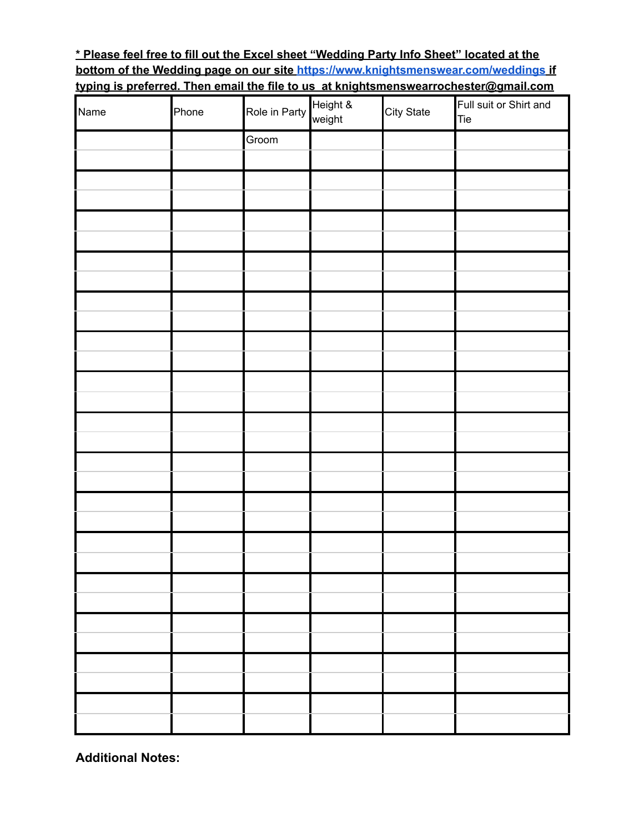### **\* Please feel free to fill out the Excel sheet "Wedding Party Info Sheet" located at the bottom of the Wedding page on our site <https://www.knightsmenswear.com/weddings> if typing is preferred. Then email the file to us at knightsmenswearrochester@gmail.com**

| Name | Phone | Role in Party | Height &<br>weight | City State | Full suit or Shirt and<br>Tie |
|------|-------|---------------|--------------------|------------|-------------------------------|
|      |       | Groom         |                    |            |                               |
|      |       |               |                    |            |                               |
|      |       |               |                    |            |                               |
|      |       |               |                    |            |                               |
|      |       |               |                    |            |                               |
|      |       |               |                    |            |                               |
|      |       |               |                    |            |                               |
|      |       |               |                    |            |                               |
|      |       |               |                    |            |                               |
|      |       |               |                    |            |                               |
|      |       |               |                    |            |                               |
|      |       |               |                    |            |                               |
|      |       |               |                    |            |                               |
|      |       |               |                    |            |                               |
|      |       |               |                    |            |                               |
|      |       |               |                    |            |                               |
|      |       |               |                    |            |                               |
|      |       |               |                    |            |                               |
|      |       |               |                    |            |                               |
|      |       |               |                    |            |                               |
|      |       |               |                    |            |                               |
|      |       |               |                    |            |                               |
|      |       |               |                    |            |                               |
|      |       |               |                    |            |                               |
|      |       |               |                    |            |                               |
|      |       |               |                    |            |                               |
|      |       |               |                    |            |                               |
|      |       |               |                    |            |                               |

**Additional Notes:**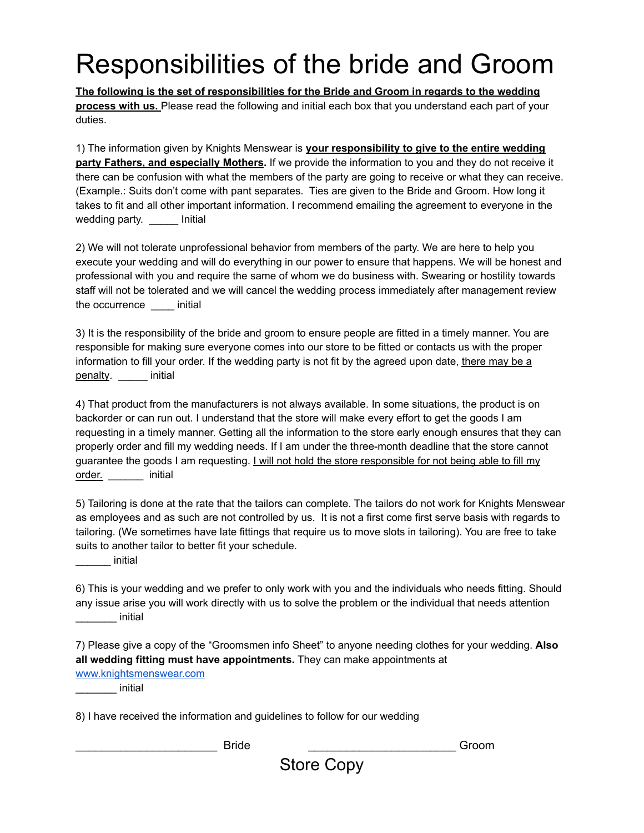# Responsibilities of the bride and Groom

**The following is the set of responsibilities for the Bride and Groom in regards to the wedding process with us.** Please read the following and initial each box that you understand each part of your duties.

1) The information given by Knights Menswear is **your responsibility to give to the entire wedding party Fathers, and especially Mothers.** If we provide the information to you and they do not receive it there can be confusion with what the members of the party are going to receive or what they can receive. (Example.: Suits don't come with pant separates. Ties are given to the Bride and Groom. How long it takes to fit and all other important information. I recommend emailing the agreement to everyone in the wedding party. \_\_\_\_\_ Initial

2) We will not tolerate unprofessional behavior from members of the party. We are here to help you execute your wedding and will do everything in our power to ensure that happens. We will be honest and professional with you and require the same of whom we do business with. Swearing or hostility towards staff will not be tolerated and we will cancel the wedding process immediately after management review the occurrence \_\_\_\_ initial

3) It is the responsibility of the bride and groom to ensure people are fitted in a timely manner. You are responsible for making sure everyone comes into our store to be fitted or contacts us with the proper information to fill your order. If the wedding party is not fit by the agreed upon date, there may be a penalty. \_\_\_\_\_ initial

4) That product from the manufacturers is not always available. In some situations, the product is on backorder or can run out. I understand that the store will make every effort to get the goods I am requesting in a timely manner. Getting all the information to the store early enough ensures that they can properly order and fill my wedding needs. If I am under the three-month deadline that the store cannot guarantee the goods I am requesting. I will not hold the store responsible for not being able to fill my order. \_\_\_\_\_\_ initial

5) Tailoring is done at the rate that the tailors can complete. The tailors do not work for Knights Menswear as employees and as such are not controlled by us. It is not a first come first serve basis with regards to tailoring. (We sometimes have late fittings that require us to move slots in tailoring). You are free to take suits to another tailor to better fit your schedule.

\_\_\_\_\_\_ initial

6) This is your wedding and we prefer to only work with you and the individuals who needs fitting. Should any issue arise you will work directly with us to solve the problem or the individual that needs attention \_\_\_\_\_\_\_ initial

7) Please give a copy of the "Groomsmen info Sheet" to anyone needing clothes for your wedding. **Also all wedding fitting must have appointments.** They can make appointments at

[www.knightsmenswear.com](http://www.knightsmenswear.com) \_\_\_\_\_\_\_ initial

8) I have received the information and guidelines to follow for our wedding

\_\_\_\_\_\_\_\_\_\_\_\_\_\_\_\_\_\_\_\_\_\_ Bride \_\_\_\_\_\_\_\_\_\_\_\_\_\_\_\_\_\_\_\_\_\_\_ Groom

Store Copy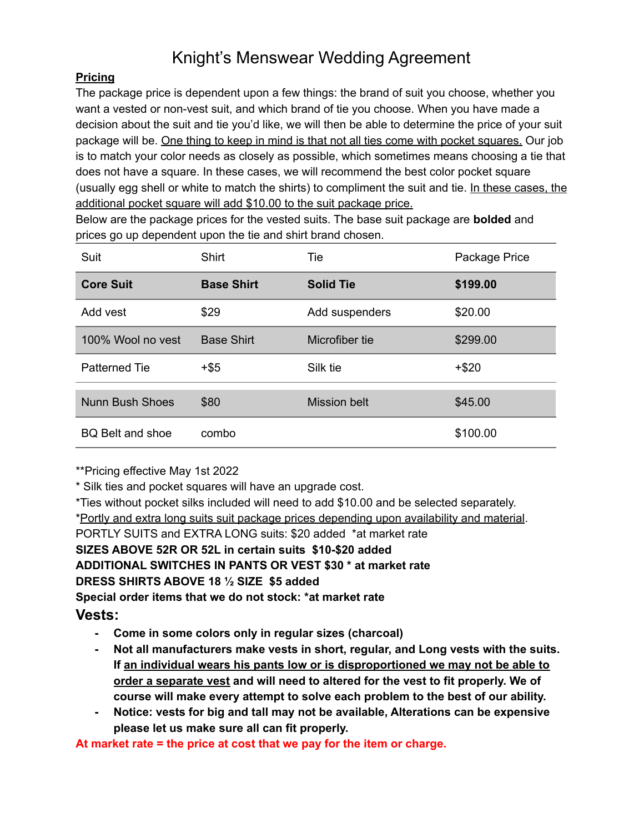## Knight's Menswear Wedding Agreement

### **Pricing**

The package price is dependent upon a few things: the brand of suit you choose, whether you want a vested or non-vest suit, and which brand of tie you choose. When you have made a decision about the suit and tie you'd like, we will then be able to determine the price of your suit package will be. One thing to keep in mind is that not all ties come with pocket squares. Our job is to match your color needs as closely as possible, which sometimes means choosing a tie that does not have a square. In these cases, we will recommend the best color pocket square (usually egg shell or white to match the shirts) to compliment the suit and tie. In these cases, the additional pocket square will add \$10.00 to the suit package price.

Below are the package prices for the vested suits. The base suit package are **bolded** and prices go up dependent upon the tie and shirt brand chosen.

| Suit                    | <b>Shirt</b>      | Tie                 | Package Price |
|-------------------------|-------------------|---------------------|---------------|
| <b>Core Suit</b>        | <b>Base Shirt</b> | <b>Solid Tie</b>    | \$199.00      |
| Add vest                | \$29              | Add suspenders      | \$20.00       |
| 100% Wool no yest       | <b>Base Shirt</b> | Microfiber tie      | \$299.00      |
| <b>Patterned Tie</b>    | $+$ \$5           | Silk tie            | $+ $20$       |
| <b>Nunn Bush Shoes</b>  | \$80              | <b>Mission belt</b> | \$45.00       |
| <b>BQ Belt and shoe</b> | combo             |                     | \$100.00      |

\*\*Pricing effective May 1st 2022

\* Silk ties and pocket squares will have an upgrade cost.

\*Ties without pocket silks included will need to add \$10.00 and be selected separately.

\*Portly and extra long suits suit package prices depending upon availability and material.

PORTLY SUITS and EXTRA LONG suits: \$20 added \*at market rate

### **SIZES ABOVE 52R OR 52L in certain suits \$10-\$20 added**

**ADDITIONAL SWITCHES IN PANTS OR VEST \$30 \* at market rate**

### **DRESS SHIRTS ABOVE 18 ½ SIZE \$5 added**

**Special order items that we do not stock: \*at market rate**

### **Vests:**

- **- Come in some colors only in regular sizes (charcoal)**
- **- Not all manufacturers make vests in short, regular, and Long vests with the suits. If an individual wears his pants low or is disproportioned we may not be able to order a separate vest and will need to altered for the vest to fit properly. We of course will make every attempt to solve each problem to the best of our ability.**
- **- Notice: vests for big and tall may not be available, Alterations can be expensive please let us make sure all can fit properly.**

**At market rate = the price at cost that we pay for the item or charge.**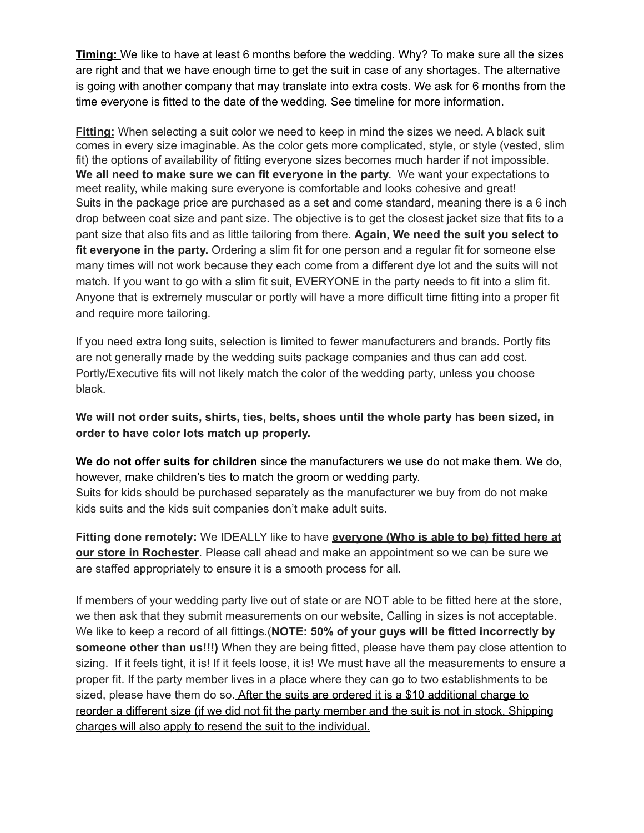**Timing:** We like to have at least 6 months before the wedding. Why? To make sure all the sizes are right and that we have enough time to get the suit in case of any shortages. The alternative is going with another company that may translate into extra costs. We ask for 6 months from the time everyone is fitted to the date of the wedding. See timeline for more information.

**Fitting:** When selecting a suit color we need to keep in mind the sizes we need. A black suit comes in every size imaginable. As the color gets more complicated, style, or style (vested, slim fit) the options of availability of fitting everyone sizes becomes much harder if not impossible. **We all need to make sure we can fit everyone in the party.** We want your expectations to meet reality, while making sure everyone is comfortable and looks cohesive and great! Suits in the package price are purchased as a set and come standard, meaning there is a 6 inch drop between coat size and pant size. The objective is to get the closest jacket size that fits to a pant size that also fits and as little tailoring from there. **Again, We need the suit you select to fit everyone in the party.** Ordering a slim fit for one person and a regular fit for someone else many times will not work because they each come from a different dye lot and the suits will not match. If you want to go with a slim fit suit, EVERYONE in the party needs to fit into a slim fit. Anyone that is extremely muscular or portly will have a more difficult time fitting into a proper fit and require more tailoring.

If you need extra long suits, selection is limited to fewer manufacturers and brands. Portly fits are not generally made by the wedding suits package companies and thus can add cost. Portly/Executive fits will not likely match the color of the wedding party, unless you choose black.

**We will not order suits, shirts, ties, belts, shoes until the whole party has been sized, in order to have color lots match up properly.**

**We do not offer suits for children** since the manufacturers we use do not make them. We do, however, make children's ties to match the groom or wedding party. Suits for kids should be purchased separately as the manufacturer we buy from do not make kids suits and the kids suit companies don't make adult suits.

**Fitting done remotely:** We IDEALLY like to have **everyone (Who is able to be) fitted here at our store in Rochester**. Please call ahead and make an appointment so we can be sure we are staffed appropriately to ensure it is a smooth process for all.

If members of your wedding party live out of state or are NOT able to be fitted here at the store, we then ask that they submit measurements on our website, Calling in sizes is not acceptable. We like to keep a record of all fittings.(**NOTE: 50% of your guys will be fitted incorrectly by someone other than us!!!)** When they are being fitted, please have them pay close attention to sizing. If it feels tight, it is! If it feels loose, it is! We must have all the measurements to ensure a proper fit. If the party member lives in a place where they can go to two establishments to be sized, please have them do so. After the suits are ordered it is a \$10 additional charge to reorder a different size (if we did not fit the party member and the suit is not in stock. Shipping charges will also apply to resend the suit to the individual.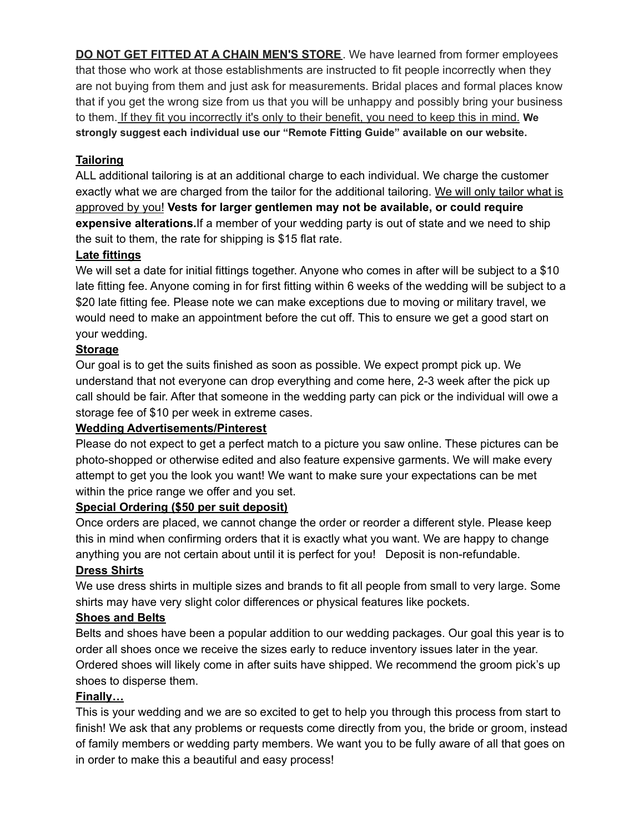**DO NOT GET FITTED AT A CHAIN MEN'S STORE**. We have learned from former employees that those who work at those establishments are instructed to fit people incorrectly when they are not buying from them and just ask for measurements. Bridal places and formal places know that if you get the wrong size from us that you will be unhappy and possibly bring your business to them. If they fit you incorrectly it's only to their benefit, you need to keep this in mind. **We strongly suggest each individual use our "Remote Fitting Guide" available on our website.**

### **Tailoring**

ALL additional tailoring is at an additional charge to each individual. We charge the customer exactly what we are charged from the tailor for the additional tailoring. We will only tailor what is approved by you! **Vests for larger gentlemen may not be available, or could require expensive alterations.**If a member of your wedding party is out of state and we need to ship the suit to them, the rate for shipping is \$15 flat rate.

### **Late fittings**

We will set a date for initial fittings together. Anyone who comes in after will be subject to a \$10 late fitting fee. Anyone coming in for first fitting within 6 weeks of the wedding will be subject to a \$20 late fitting fee. Please note we can make exceptions due to moving or military travel, we would need to make an appointment before the cut off. This to ensure we get a good start on your wedding.

### **Storage**

Our goal is to get the suits finished as soon as possible. We expect prompt pick up. We understand that not everyone can drop everything and come here, 2-3 week after the pick up call should be fair. After that someone in the wedding party can pick or the individual will owe a storage fee of \$10 per week in extreme cases.

### **Wedding Advertisements/Pinterest**

Please do not expect to get a perfect match to a picture you saw online. These pictures can be photo-shopped or otherwise edited and also feature expensive garments. We will make every attempt to get you the look you want! We want to make sure your expectations can be met within the price range we offer and you set.

### **Special Ordering (\$50 per suit deposit)**

Once orders are placed, we cannot change the order or reorder a different style. Please keep this in mind when confirming orders that it is exactly what you want. We are happy to change anything you are not certain about until it is perfect for you! Deposit is non-refundable.

### **Dress Shirts**

We use dress shirts in multiple sizes and brands to fit all people from small to very large. Some shirts may have very slight color differences or physical features like pockets.

### **Shoes and Belts**

Belts and shoes have been a popular addition to our wedding packages. Our goal this year is to order all shoes once we receive the sizes early to reduce inventory issues later in the year. Ordered shoes will likely come in after suits have shipped. We recommend the groom pick's up shoes to disperse them.

### **Finally…**

This is your wedding and we are so excited to get to help you through this process from start to finish! We ask that any problems or requests come directly from you, the bride or groom, instead of family members or wedding party members. We want you to be fully aware of all that goes on in order to make this a beautiful and easy process!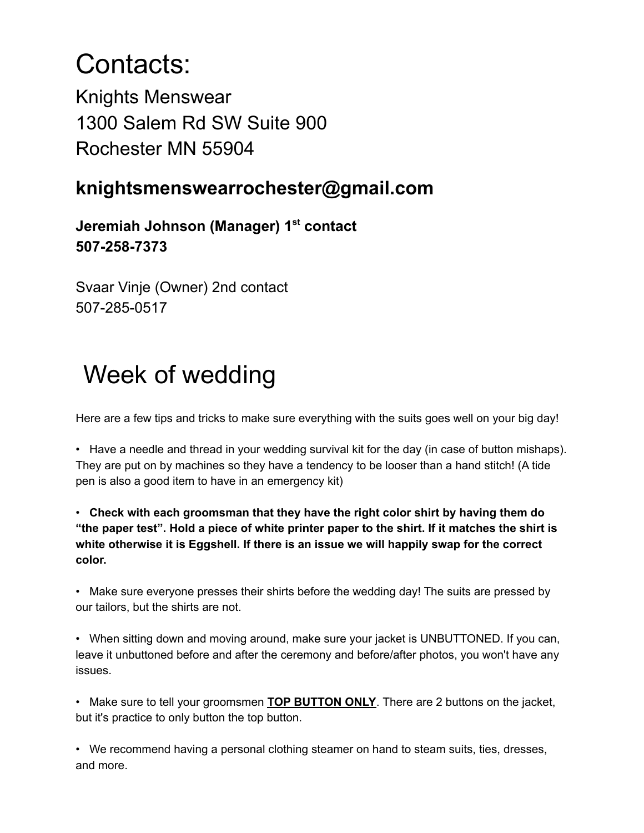## Contacts:

Knights Menswear 1300 Salem Rd SW Suite 900 Rochester MN 55904

## **knightsmenswearrochester@gmail.com**

**Jeremiah Johnson (Manager) 1 st contact 507-258-7373**

Svaar Vinje (Owner) 2nd contact 507-285-0517

## Week of wedding

Here are a few tips and tricks to make sure everything with the suits goes well on your big day!

• Have a needle and thread in your wedding survival kit for the day (in case of button mishaps). They are put on by machines so they have a tendency to be looser than a hand stitch! (A tide pen is also a good item to have in an emergency kit)

• **Check with each groomsman that they have the right color shirt by having them do** "the paper test". Hold a piece of white printer paper to the shirt. If it matches the shirt is **white otherwise it is Eggshell. If there is an issue we will happily swap for the correct color.**

• Make sure everyone presses their shirts before the wedding day! The suits are pressed by our tailors, but the shirts are not.

• When sitting down and moving around, make sure your jacket is UNBUTTONED. If you can, leave it unbuttoned before and after the ceremony and before/after photos, you won't have any issues.

• Make sure to tell your groomsmen **TOP BUTTON ONLY**. There are 2 buttons on the jacket, but it's practice to only button the top button.

• We recommend having a personal clothing steamer on hand to steam suits, ties, dresses, and more.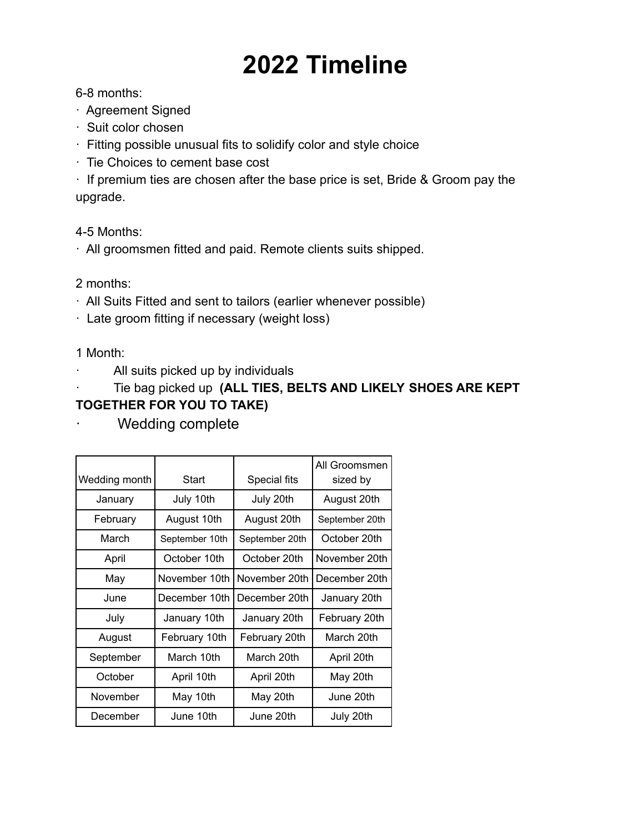# **2022 Timeline**

### 6-8 months:

- · Agreement Signed
- · Suit color chosen
- · Fitting possible unusual fits to solidify color and style choice
- · Tie Choices to cement base cost

· If premium ties are chosen after the base price is set, Bride & Groom pay the upgrade.

4-5 Months:

· All groomsmen fitted and paid. Remote clients suits shipped.

### 2 months:

- · All Suits Fitted and sent to tailors (earlier whenever possible)
- · Late groom fitting if necessary (weight loss)

1 Month:

· All suits picked up by individuals

· Tie bag picked up **(ALL TIES, BELTS AND LIKELY SHOES ARE KEPT TOGETHER FOR YOU TO TAKE)**

Wedding complete

| Wedding month | <b>Start</b>   | Special fits   | All Groomsmen<br>sized by |
|---------------|----------------|----------------|---------------------------|
| January       | July 10th      | July 20th      | August 20th               |
| February      | August 10th    | August 20th    | September 20th            |
| March         | September 10th | September 20th | October 20th              |
| April         | October 10th   | October 20th   | November 20th             |
| May           | November 10th  | November 20th  | December 20th             |
| June          | December 10th  | December 20th  | January 20th              |
| July          | January 10th   | January 20th   | February 20th             |
| August        | February 10th  | February 20th  | March 20th                |
| September     | March 10th     | March 20th     | April 20th                |
| October       | April 10th     | April 20th     | May 20th                  |
| November      | May 10th       | May 20th       | June 20th                 |
| December      | June 10th      | June 20th      | July 20th                 |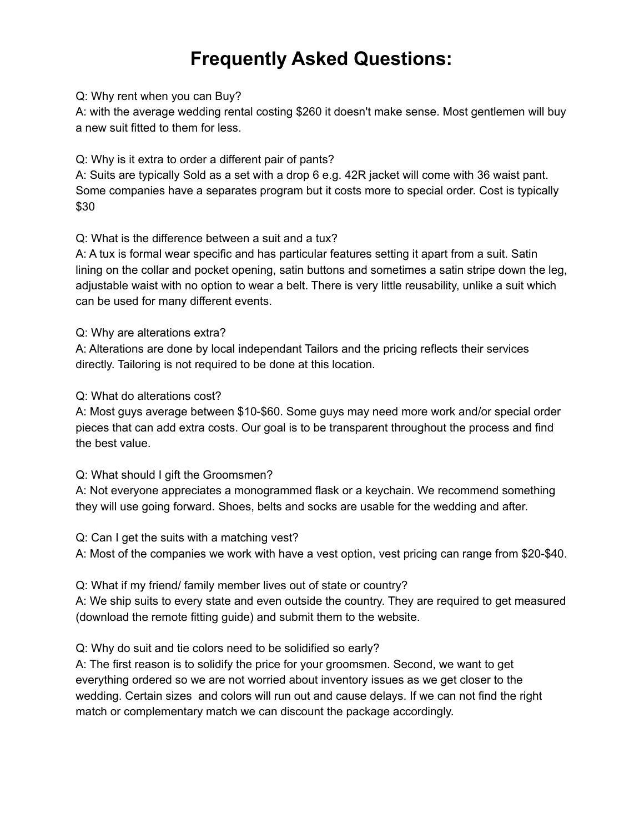## **Frequently Asked Questions:**

#### Q: Why rent when you can Buy?

A: with the average wedding rental costing \$260 it doesn't make sense. Most gentlemen will buy a new suit fitted to them for less.

Q: Why is it extra to order a different pair of pants?

A: Suits are typically Sold as a set with a drop 6 e.g. 42R jacket will come with 36 waist pant. Some companies have a separates program but it costs more to special order. Cost is typically \$30

Q: What is the difference between a suit and a tux?

A: A tux is formal wear specific and has particular features setting it apart from a suit. Satin lining on the collar and pocket opening, satin buttons and sometimes a satin stripe down the leg, adjustable waist with no option to wear a belt. There is very little reusability, unlike a suit which can be used for many different events.

### Q: Why are alterations extra?

A: Alterations are done by local independant Tailors and the pricing reflects their services directly. Tailoring is not required to be done at this location.

### Q: What do alterations cost?

A: Most guys average between \$10-\$60. Some guys may need more work and/or special order pieces that can add extra costs. Our goal is to be transparent throughout the process and find the best value.

### Q: What should I gift the Groomsmen?

A: Not everyone appreciates a monogrammed flask or a keychain. We recommend something they will use going forward. Shoes, belts and socks are usable for the wedding and after.

### Q: Can I get the suits with a matching vest?

A: Most of the companies we work with have a vest option, vest pricing can range from \$20-\$40.

Q: What if my friend/ family member lives out of state or country?

A: We ship suits to every state and even outside the country. They are required to get measured (download the remote fitting guide) and submit them to the website.

### Q: Why do suit and tie colors need to be solidified so early?

A: The first reason is to solidify the price for your groomsmen. Second, we want to get everything ordered so we are not worried about inventory issues as we get closer to the wedding. Certain sizes and colors will run out and cause delays. If we can not find the right match or complementary match we can discount the package accordingly.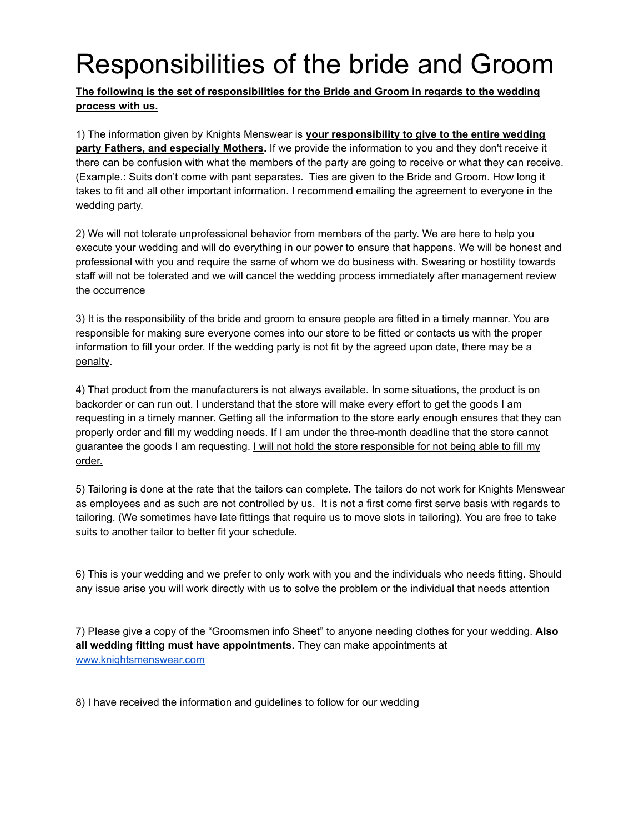# Responsibilities of the bride and Groom

**The following is the set of responsibilities for the Bride and Groom in regards to the wedding process with us.**

1) The information given by Knights Menswear is **your responsibility to give to the entire wedding party Fathers, and especially Mothers.** If we provide the information to you and they don't receive it there can be confusion with what the members of the party are going to receive or what they can receive. (Example.: Suits don't come with pant separates. Ties are given to the Bride and Groom. How long it takes to fit and all other important information. I recommend emailing the agreement to everyone in the wedding party.

2) We will not tolerate unprofessional behavior from members of the party. We are here to help you execute your wedding and will do everything in our power to ensure that happens. We will be honest and professional with you and require the same of whom we do business with. Swearing or hostility towards staff will not be tolerated and we will cancel the wedding process immediately after management review the occurrence

3) It is the responsibility of the bride and groom to ensure people are fitted in a timely manner. You are responsible for making sure everyone comes into our store to be fitted or contacts us with the proper information to fill your order. If the wedding party is not fit by the agreed upon date, there may be a penalty.

4) That product from the manufacturers is not always available. In some situations, the product is on backorder or can run out. I understand that the store will make every effort to get the goods I am requesting in a timely manner. Getting all the information to the store early enough ensures that they can properly order and fill my wedding needs. If I am under the three-month deadline that the store cannot guarantee the goods I am requesting. I will not hold the store responsible for not being able to fill my order.

5) Tailoring is done at the rate that the tailors can complete. The tailors do not work for Knights Menswear as employees and as such are not controlled by us. It is not a first come first serve basis with regards to tailoring. (We sometimes have late fittings that require us to move slots in tailoring). You are free to take suits to another tailor to better fit your schedule.

6) This is your wedding and we prefer to only work with you and the individuals who needs fitting. Should any issue arise you will work directly with us to solve the problem or the individual that needs attention

7) Please give a copy of the "Groomsmen info Sheet" to anyone needing clothes for your wedding. **Also all wedding fitting must have appointments.** They can make appointments at [www.knightsmenswear.com](http://www.knightsmenswear.com)

8) I have received the information and guidelines to follow for our wedding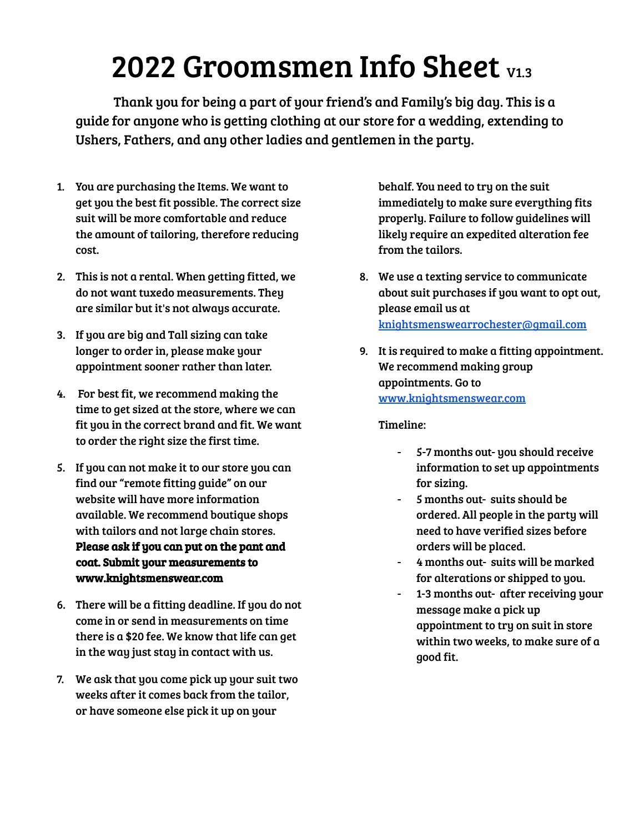# 2022 Groomsmen Info Sheet V1.3

Thank you for being a part of your friend's and Family's big day. This is a guide for anyone who is getting clothing at our store for a wedding, extending to Ushers, Fathers, and any other ladies and gentlemen in the party.

- 1. You are purchasing the Items. We want to get you the best fit possible. The correct size suit will be more comfortable and reduce the amount of tailoring, therefore reducing cost.
- 2. This is not a rental. When getting fitted, we do not want tuxedo measurements. They are similar but it's not always accurate.
- 3. If you are big and Tall sizing can take longer to order in, please make your appointment sooner rather than later.
- 4. For best fit, we recommend making the time to get sized at the store, where we can fit you in the correct brand and fit. We want to order the right size the first time.
- 5. If you can not make it to our store you can find our "remote fitting guide" on our website will have more information available. We recommend boutique shops with tailors and not large chain stores. Please ask if you can put on the pant and coat. Submit your measurements to www.knightsmenswear.com
- 6. There will be a fitting deadline. If you do not come in or send in measurements on time there is a \$20 fee. We know that life can get in the way just stay in contact with us.
- 7. We ask that you come pick up your suit two weeks after it comes back from the tailor, or have someone else pick it up on your

behalf. You need to try on the suit immediately to make sure everything fits properly. Failure to follow guidelines will likely require an expedited alteration fee from the tailors.

- 8. We use a texting service to communicate about suit purchases if you want to opt out, please email us at [knightsmenswearrochester@gmail.com](mailto:knightsmenswearrochester@gmail.com)
- 9. It is required to make a fitting appointment. We recommend making group appointments. Go to [www.knightsmenswear.com](http://www.knightsmenswear.com)

### Timeline:

- 5-7 months out- you should receive information to set up appointments for sizing.
- 5 months out- suits should be ordered. All people in the party will need to have verified sizes before orders will be placed.
- 4 months out- suits will be marked for alterations or shipped to you.
- 1-3 months out- after receiving your message make a pick up appointment to try on suit in store within two weeks, to make sure of a good fit.